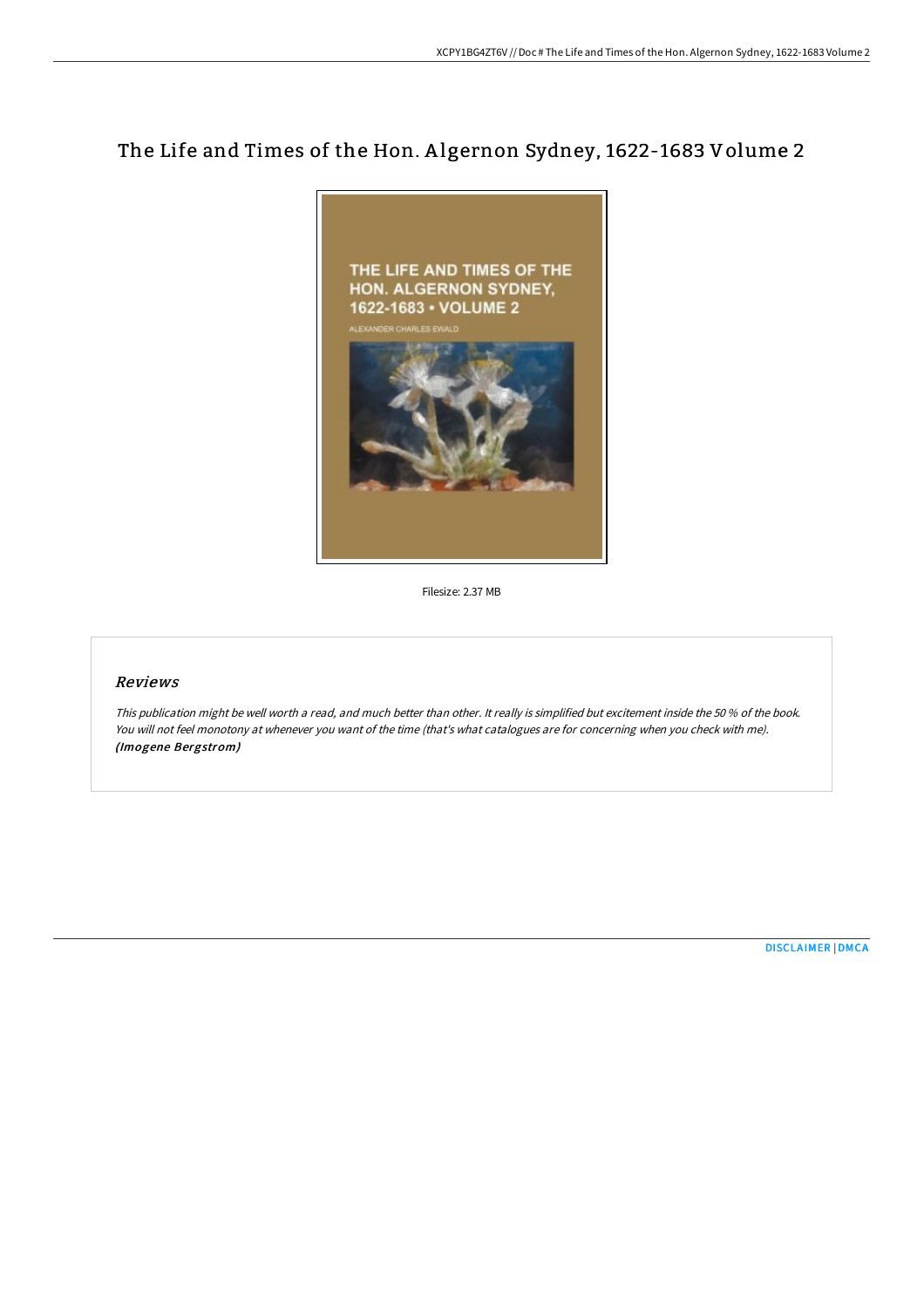# The Life and Times of the Hon. A lgernon Sydney, 1622-1683 Volume 2



Filesize: 2.37 MB

# Reviews

This publication might be well worth <sup>a</sup> read, and much better than other. It really is simplified but excitement inside the <sup>50</sup> % of the book. You will not feel monotony at whenever you want of the time (that's what catalogues are for concerning when you check with me). (Imogene Bergstrom)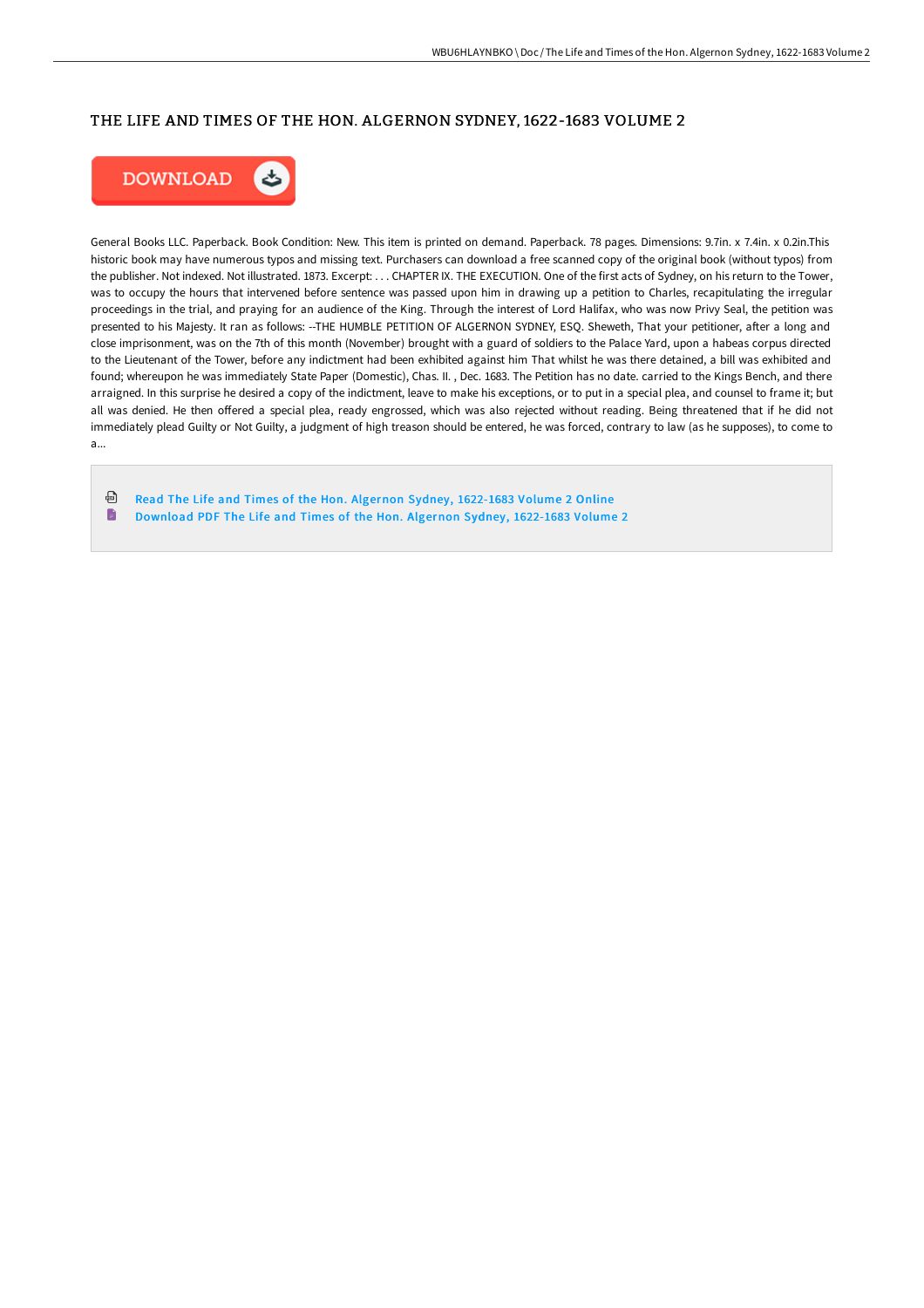### THE LIFE AND TIMES OF THE HON. ALGERNON SYDNEY, 1622-1683 VOLUME 2



General Books LLC. Paperback. Book Condition: New. This item is printed on demand. Paperback. 78 pages. Dimensions: 9.7in. x 7.4in. x 0.2in.This historic book may have numerous typos and missing text. Purchasers can download a free scanned copy of the original book (without typos) from the publisher. Not indexed. Not illustrated. 1873. Excerpt: . . . CHAPTER IX. THE EXECUTION. One of the first acts of Sydney, on his return to the Tower, was to occupy the hours that intervened before sentence was passed upon him in drawing up a petition to Charles, recapitulating the irregular proceedings in the trial, and praying for an audience of the King. Through the interest of Lord Halifax, who was now Privy Seal, the petition was presented to his Majesty. It ran as follows: --THE HUMBLE PETITION OF ALGERNON SYDNEY, ESQ. Sheweth, That your petitioner, after a long and close imprisonment, was on the 7th of this month (November) brought with a guard of soldiers to the Palace Yard, upon a habeas corpus directed to the Lieutenant of the Tower, before any indictment had been exhibited against him That whilst he was there detained, a bill was exhibited and found; whereupon he was immediately State Paper (Domestic), Chas. II. , Dec. 1683. The Petition has no date. carried to the Kings Bench, and there arraigned. In this surprise he desired a copy of the indictment, leave to make his exceptions, or to put in a special plea, and counsel to frame it; but all was denied. He then offered a special plea, ready engrossed, which was also rejected without reading. Being threatened that if he did not immediately plead Guilty or Not Guilty, a judgment of high treason should be entered, he was forced, contrary to law (as he supposes), to come to a...

ଈ Read The Life and Times of the Hon. Algernon Sydney, [1622-1683](http://digilib.live/the-life-and-times-of-the-hon-algernon-sydney-16.html) Volume 2 Online B [Download](http://digilib.live/the-life-and-times-of-the-hon-algernon-sydney-16.html) PDF The Life and Times of the Hon. Algernon Sydney, 1622-1683 Volume 2